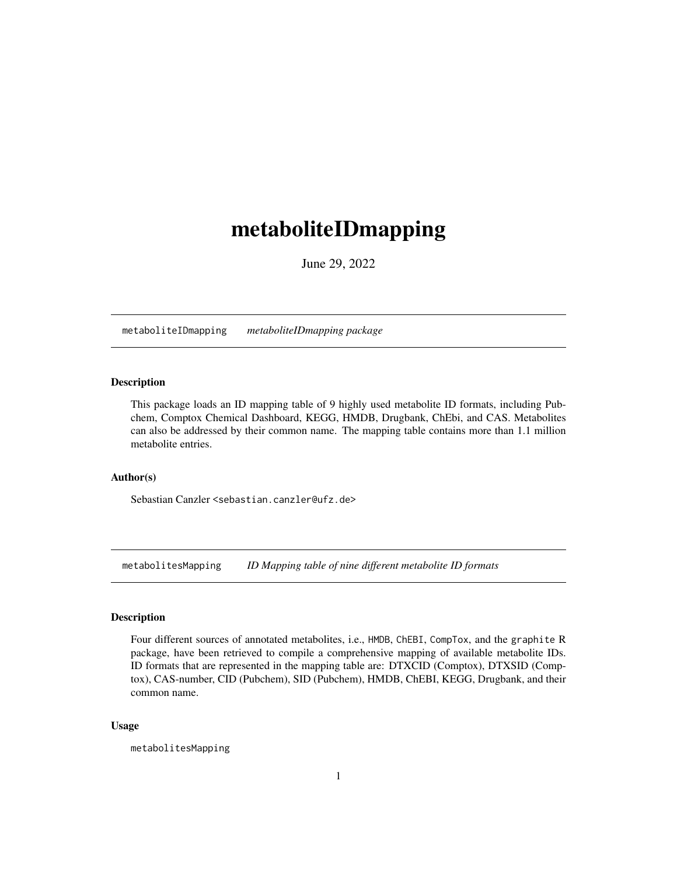# <span id="page-0-0"></span>metaboliteIDmapping

June 29, 2022

metaboliteIDmapping *metaboliteIDmapping package*

## Description

This package loads an ID mapping table of 9 highly used metabolite ID formats, including Pubchem, Comptox Chemical Dashboard, KEGG, HMDB, Drugbank, ChEbi, and CAS. Metabolites can also be addressed by their common name. The mapping table contains more than 1.1 million metabolite entries.

#### Author(s)

Sebastian Canzler <sebastian.canzler@ufz.de>

metabolitesMapping *ID Mapping table of nine different metabolite ID formats*

#### Description

Four different sources of annotated metabolites, i.e., HMDB, ChEBI, CompTox, and the graphite R package, have been retrieved to compile a comprehensive mapping of available metabolite IDs. ID formats that are represented in the mapping table are: DTXCID (Comptox), DTXSID (Comptox), CAS-number, CID (Pubchem), SID (Pubchem), HMDB, ChEBI, KEGG, Drugbank, and their common name.

#### Usage

metabolitesMapping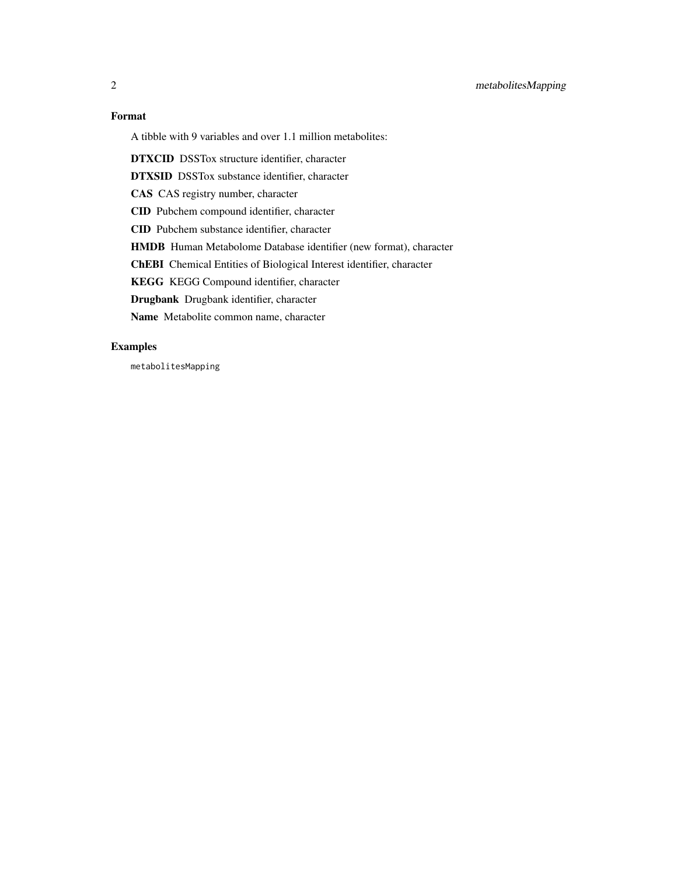# Format

A tibble with 9 variables and over 1.1 million metabolites:

DTXCID DSSTox structure identifier, character

DTXSID DSSTox substance identifier, character

CAS CAS registry number, character

CID Pubchem compound identifier, character

CID Pubchem substance identifier, character

HMDB Human Metabolome Database identifier (new format), character

ChEBI Chemical Entities of Biological Interest identifier, character

KEGG KEGG Compound identifier, character

Drugbank Drugbank identifier, character

Name Metabolite common name, character

## Examples

metabolitesMapping